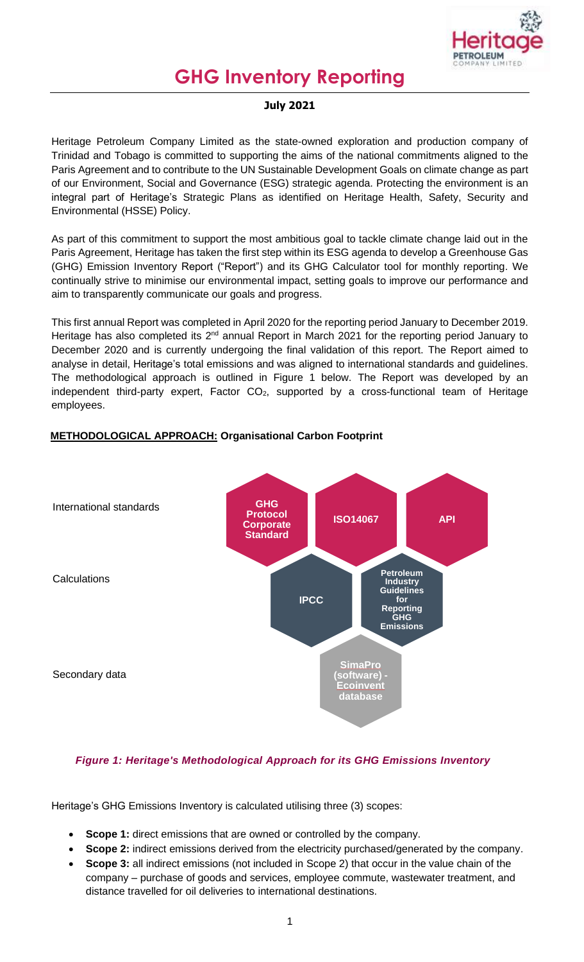

# **GHG Inventory Reporting**

#### **July 2021**

Heritage Petroleum Company Limited as the state-owned exploration and production company of Trinidad and Tobago is committed to supporting the aims of the national commitments aligned to the Paris Agreement and to contribute to the UN Sustainable Development Goals on climate change as part of our Environment, Social and Governance (ESG) strategic agenda. Protecting the environment is an integral part of Heritage's Strategic Plans as identified on Heritage Health, Safety, Security and Environmental (HSSE) Policy.

As part of this commitment to support the most ambitious goal to tackle climate change laid out in the Paris Agreement, Heritage has taken the first step within its ESG agenda to develop a Greenhouse Gas (GHG) Emission Inventory Report ("Report") and its GHG Calculator tool for monthly reporting. We continually strive to minimise our environmental impact, setting goals to improve our performance and aim to transparently communicate our goals and progress.

This first annual Report was completed in April 2020 for the reporting period January to December 2019. Heritage has also completed its 2<sup>nd</sup> annual Report in March 2021 for the reporting period January to December 2020 and is currently undergoing the final validation of this report. The Report aimed to analyse in detail, Heritage's total emissions and was aligned to international standards and guidelines. The methodological approach is outlined in Figure 1 below. The Report was developed by an independent third-party expert, Factor  $CO<sub>2</sub>$ , supported by a cross-functional team of Heritage employees.



## **METHODOLOGICAL APPROACH: Organisational Carbon Footprint**

## *Figure 1: Heritage's Methodological Approach for its GHG Emissions Inventory*

Heritage's GHG Emissions Inventory is calculated utilising three (3) scopes:

- **Scope 1:** direct emissions that are owned or controlled by the company.
- **Scope 2:** indirect emissions derived from the electricity purchased/generated by the company.
- **Scope 3:** all indirect emissions (not included in Scope 2) that occur in the value chain of the company – purchase of goods and services, employee commute, wastewater treatment, and distance travelled for oil deliveries to international destinations.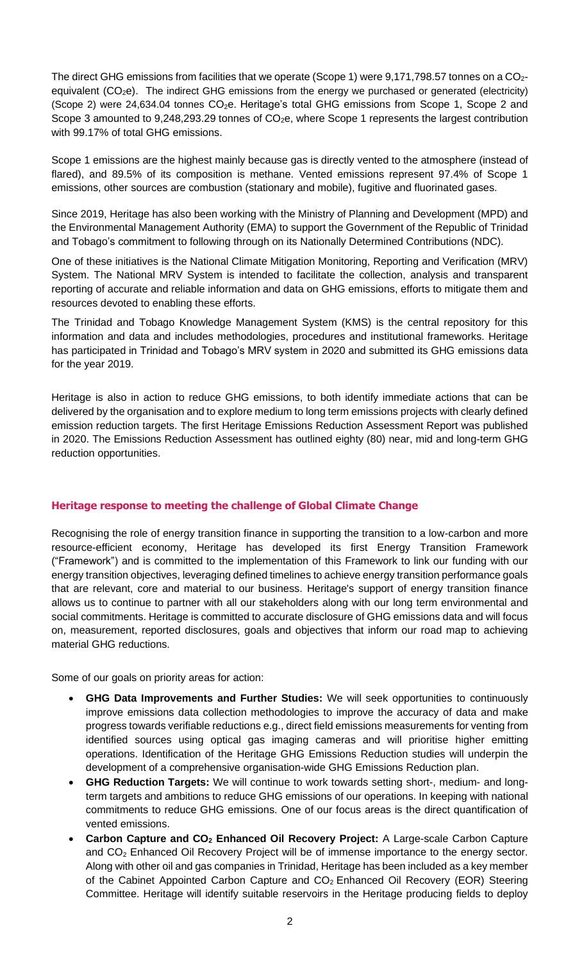The direct GHG emissions from facilities that we operate (Scope 1) were  $9,171,798.57$  tonnes on a  $CO<sub>2</sub>$ equivalent (CO<sub>2</sub>e). The indirect GHG emissions from the energy we purchased or generated (electricity) (Scope 2) were 24,634.04 tonnes CO<sub>2</sub>e. Heritage's total GHG emissions from Scope 1, Scope 2 and Scope 3 amounted to 9,248,293.29 tonnes of  $CO<sub>2</sub>e$ , where Scope 1 represents the largest contribution with 99.17% of total GHG emissions.

Scope 1 emissions are the highest mainly because gas is directly vented to the atmosphere (instead of flared), and 89.5% of its composition is methane. Vented emissions represent 97.4% of Scope 1 emissions, other sources are combustion (stationary and mobile), fugitive and fluorinated gases.

Since 2019, Heritage has also been working with the Ministry of Planning and Development (MPD) and the Environmental Management Authority (EMA) to support the Government of the Republic of Trinidad and Tobago's commitment to following through on its Nationally Determined Contributions (NDC).

One of these initiatives is the National Climate Mitigation Monitoring, Reporting and Verification (MRV) System. The National MRV System is intended to facilitate the collection, analysis and transparent reporting of accurate and reliable information and data on GHG emissions, efforts to mitigate them and resources devoted to enabling these efforts.

The Trinidad and Tobago Knowledge Management System (KMS) is the central repository for this information and data and includes methodologies, procedures and institutional frameworks. Heritage has participated in Trinidad and Tobago's MRV system in 2020 and submitted its GHG emissions data for the year 2019.

Heritage is also in action to reduce GHG emissions, to both identify immediate actions that can be delivered by the organisation and to explore medium to long term emissions projects with clearly defined emission reduction targets. The first Heritage Emissions Reduction Assessment Report was published in 2020. The Emissions Reduction Assessment has outlined eighty (80) near, mid and long-term GHG reduction opportunities.

#### **Heritage response to meeting the challenge of Global Climate Change**

Recognising the role of energy transition finance in supporting the transition to a low-carbon and more resource-efficient economy, Heritage has developed its first Energy Transition Framework ("Framework") and is committed to the implementation of this Framework to link our funding with our energy transition objectives, leveraging defined timelines to achieve energy transition performance goals that are relevant, core and material to our business. Heritage's support of energy transition finance allows us to continue to partner with all our stakeholders along with our long term environmental and social commitments. Heritage is committed to accurate disclosure of GHG emissions data and will focus on, measurement, reported disclosures, goals and objectives that inform our road map to achieving material GHG reductions.

Some of our goals on priority areas for action:

- **GHG Data Improvements and Further Studies:** We will seek opportunities to continuously improve emissions data collection methodologies to improve the accuracy of data and make progress towards verifiable reductions e.g., direct field emissions measurements for venting from identified sources using optical gas imaging cameras and will prioritise higher emitting operations. Identification of the Heritage GHG Emissions Reduction studies will underpin the development of a comprehensive organisation-wide GHG Emissions Reduction plan.
- **GHG Reduction Targets:** We will continue to work towards setting short-, medium- and longterm targets and ambitions to reduce GHG emissions of our operations. In keeping with national commitments to reduce GHG emissions. One of our focus areas is the direct quantification of vented emissions.
- **Carbon Capture and CO<sup>2</sup> Enhanced Oil Recovery Project:** A Large-scale Carbon Capture and  $CO<sub>2</sub>$  Enhanced Oil Recovery Project will be of immense importance to the energy sector. Along with other oil and gas companies in Trinidad, Heritage has been included as a key member of the Cabinet Appointed Carbon Capture and  $CO<sub>2</sub>$  Enhanced Oil Recovery (EOR) Steering Committee. Heritage will identify suitable reservoirs in the Heritage producing fields to deploy